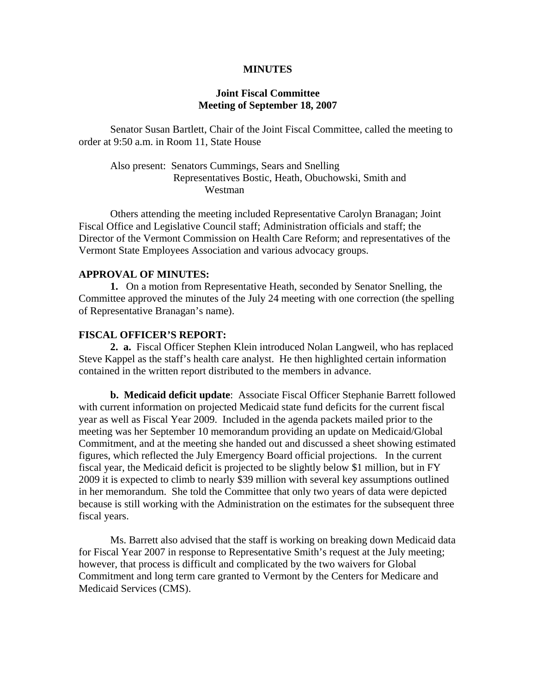### **MINUTES**

## **Joint Fiscal Committee Meeting of September 18, 2007**

Senator Susan Bartlett, Chair of the Joint Fiscal Committee, called the meeting to order at 9:50 a.m. in Room 11, State House

# Also present: Senators Cummings, Sears and Snelling Representatives Bostic, Heath, Obuchowski, Smith and Westman

 Others attending the meeting included Representative Carolyn Branagan; Joint Fiscal Office and Legislative Council staff; Administration officials and staff; the Director of the Vermont Commission on Health Care Reform; and representatives of the Vermont State Employees Association and various advocacy groups.

# **APPROVAL OF MINUTES:**

 **1.** On a motion from Representative Heath, seconded by Senator Snelling, the Committee approved the minutes of the July 24 meeting with one correction (the spelling of Representative Branagan's name).

### **FISCAL OFFICER'S REPORT:**

 **2. a.** Fiscal Officer Stephen Klein introduced Nolan Langweil, who has replaced Steve Kappel as the staff's health care analyst. He then highlighted certain information contained in the written report distributed to the members in advance.

**b. Medicaid deficit update**: Associate Fiscal Officer Stephanie Barrett followed with current information on projected Medicaid state fund deficits for the current fiscal year as well as Fiscal Year 2009. Included in the agenda packets mailed prior to the meeting was her September 10 memorandum providing an update on Medicaid/Global Commitment, and at the meeting she handed out and discussed a sheet showing estimated figures, which reflected the July Emergency Board official projections. In the current fiscal year, the Medicaid deficit is projected to be slightly below \$1 million, but in FY 2009 it is expected to climb to nearly \$39 million with several key assumptions outlined in her memorandum. She told the Committee that only two years of data were depicted because is still working with the Administration on the estimates for the subsequent three fiscal years.

 Ms. Barrett also advised that the staff is working on breaking down Medicaid data for Fiscal Year 2007 in response to Representative Smith's request at the July meeting; however, that process is difficult and complicated by the two waivers for Global Commitment and long term care granted to Vermont by the Centers for Medicare and Medicaid Services (CMS).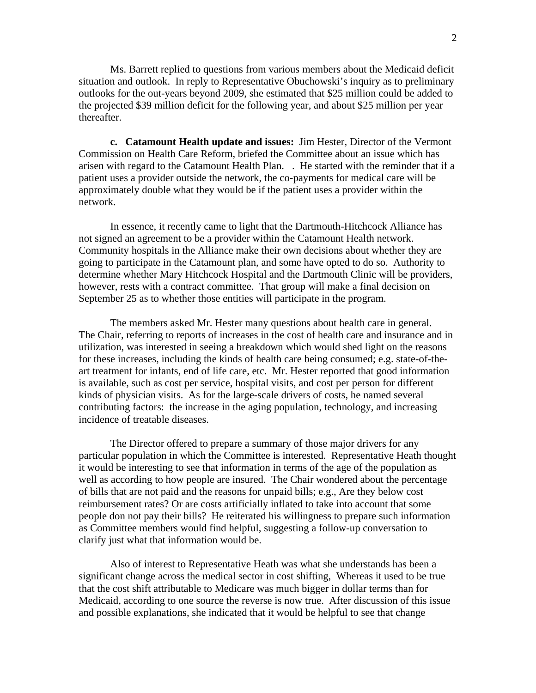Ms. Barrett replied to questions from various members about the Medicaid deficit situation and outlook. In reply to Representative Obuchowski's inquiry as to preliminary outlooks for the out-years beyond 2009, she estimated that \$25 million could be added to the projected \$39 million deficit for the following year, and about \$25 million per year thereafter.

**c. Catamount Health update and issues:** Jim Hester, Director of the Vermont Commission on Health Care Reform, briefed the Committee about an issue which has arisen with regard to the Catamount Health Plan. . He started with the reminder that if a patient uses a provider outside the network, the co-payments for medical care will be approximately double what they would be if the patient uses a provider within the network.

 In essence, it recently came to light that the Dartmouth-Hitchcock Alliance has not signed an agreement to be a provider within the Catamount Health network. Community hospitals in the Alliance make their own decisions about whether they are going to participate in the Catamount plan, and some have opted to do so. Authority to determine whether Mary Hitchcock Hospital and the Dartmouth Clinic will be providers, however, rests with a contract committee. That group will make a final decision on September 25 as to whether those entities will participate in the program.

 The members asked Mr. Hester many questions about health care in general. The Chair, referring to reports of increases in the cost of health care and insurance and in utilization, was interested in seeing a breakdown which would shed light on the reasons for these increases, including the kinds of health care being consumed; e.g. state-of-theart treatment for infants, end of life care, etc. Mr. Hester reported that good information is available, such as cost per service, hospital visits, and cost per person for different kinds of physician visits. As for the large-scale drivers of costs, he named several contributing factors: the increase in the aging population, technology, and increasing incidence of treatable diseases.

 The Director offered to prepare a summary of those major drivers for any particular population in which the Committee is interested. Representative Heath thought it would be interesting to see that information in terms of the age of the population as well as according to how people are insured. The Chair wondered about the percentage of bills that are not paid and the reasons for unpaid bills; e.g., Are they below cost reimbursement rates? Or are costs artificially inflated to take into account that some people don not pay their bills? He reiterated his willingness to prepare such information as Committee members would find helpful, suggesting a follow-up conversation to clarify just what that information would be.

 Also of interest to Representative Heath was what she understands has been a significant change across the medical sector in cost shifting, Whereas it used to be true that the cost shift attributable to Medicare was much bigger in dollar terms than for Medicaid, according to one source the reverse is now true. After discussion of this issue and possible explanations, she indicated that it would be helpful to see that change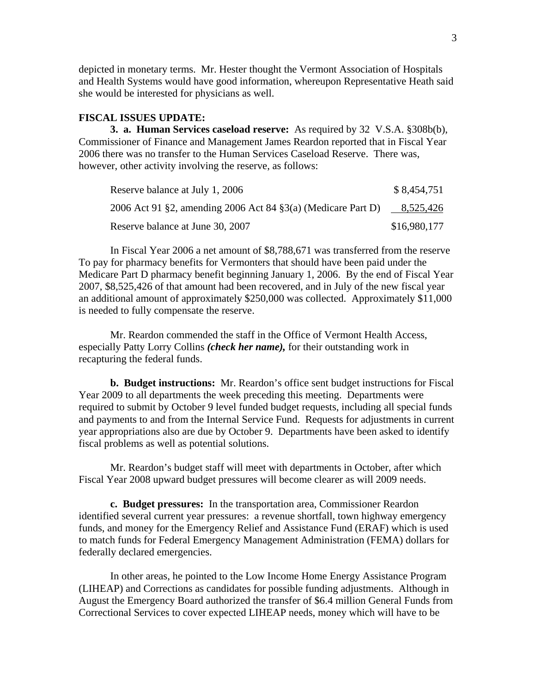depicted in monetary terms. Mr. Hester thought the Vermont Association of Hospitals and Health Systems would have good information, whereupon Representative Heath said she would be interested for physicians as well.

### **FISCAL ISSUES UPDATE:**

 **3. a. Human Services caseload reserve:** As required by 32 V.S.A. §308b(b), Commissioner of Finance and Management James Reardon reported that in Fiscal Year 2006 there was no transfer to the Human Services Caseload Reserve. There was, however, other activity involving the reserve, as follows:

| Reserve balance at July 1, 2006                              | \$8,454,751  |
|--------------------------------------------------------------|--------------|
| 2006 Act 91 §2, amending 2006 Act 84 §3(a) (Medicare Part D) | 8,525,426    |
| Reserve balance at June 30, 2007                             | \$16,980,177 |

 In Fiscal Year 2006 a net amount of \$8,788,671 was transferred from the reserve To pay for pharmacy benefits for Vermonters that should have been paid under the Medicare Part D pharmacy benefit beginning January 1, 2006. By the end of Fiscal Year 2007, \$8,525,426 of that amount had been recovered, and in July of the new fiscal year an additional amount of approximately \$250,000 was collected. Approximately \$11,000 is needed to fully compensate the reserve.

 Mr. Reardon commended the staff in the Office of Vermont Health Access, especially Patty Lorry Collins *(check her name),* for their outstanding work in recapturing the federal funds.

**b. Budget instructions:** Mr. Reardon's office sent budget instructions for Fiscal Year 2009 to all departments the week preceding this meeting. Departments were required to submit by October 9 level funded budget requests, including all special funds and payments to and from the Internal Service Fund. Requests for adjustments in current year appropriations also are due by October 9. Departments have been asked to identify fiscal problems as well as potential solutions.

 Mr. Reardon's budget staff will meet with departments in October, after which Fiscal Year 2008 upward budget pressures will become clearer as will 2009 needs.

 **c. Budget pressures:** In the transportation area, Commissioner Reardon identified several current year pressures: a revenue shortfall, town highway emergency funds, and money for the Emergency Relief and Assistance Fund (ERAF) which is used to match funds for Federal Emergency Management Administration (FEMA) dollars for federally declared emergencies.

 In other areas, he pointed to the Low Income Home Energy Assistance Program (LIHEAP) and Corrections as candidates for possible funding adjustments. Although in August the Emergency Board authorized the transfer of \$6.4 million General Funds from Correctional Services to cover expected LIHEAP needs, money which will have to be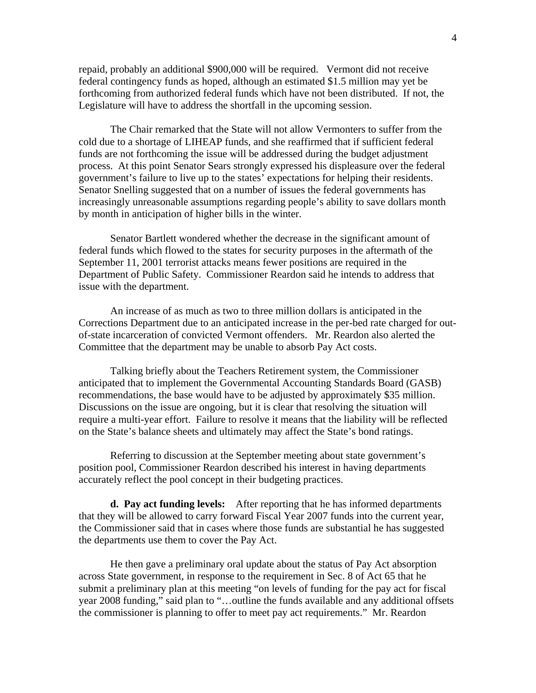repaid, probably an additional \$900,000 will be required. Vermont did not receive federal contingency funds as hoped, although an estimated \$1.5 million may yet be forthcoming from authorized federal funds which have not been distributed. If not, the Legislature will have to address the shortfall in the upcoming session.

 The Chair remarked that the State will not allow Vermonters to suffer from the cold due to a shortage of LIHEAP funds, and she reaffirmed that if sufficient federal funds are not forthcoming the issue will be addressed during the budget adjustment process. At this point Senator Sears strongly expressed his displeasure over the federal government's failure to live up to the states' expectations for helping their residents. Senator Snelling suggested that on a number of issues the federal governments has increasingly unreasonable assumptions regarding people's ability to save dollars month by month in anticipation of higher bills in the winter.

 Senator Bartlett wondered whether the decrease in the significant amount of federal funds which flowed to the states for security purposes in the aftermath of the September 11, 2001 terrorist attacks means fewer positions are required in the Department of Public Safety. Commissioner Reardon said he intends to address that issue with the department.

 An increase of as much as two to three million dollars is anticipated in the Corrections Department due to an anticipated increase in the per-bed rate charged for outof-state incarceration of convicted Vermont offenders. Mr. Reardon also alerted the Committee that the department may be unable to absorb Pay Act costs.

 Talking briefly about the Teachers Retirement system, the Commissioner anticipated that to implement the Governmental Accounting Standards Board (GASB) recommendations, the base would have to be adjusted by approximately \$35 million. Discussions on the issue are ongoing, but it is clear that resolving the situation will require a multi-year effort. Failure to resolve it means that the liability will be reflected on the State's balance sheets and ultimately may affect the State's bond ratings.

 Referring to discussion at the September meeting about state government's position pool, Commissioner Reardon described his interest in having departments accurately reflect the pool concept in their budgeting practices.

**d. Pay act funding levels:** After reporting that he has informed departments that they will be allowed to carry forward Fiscal Year 2007 funds into the current year, the Commissioner said that in cases where those funds are substantial he has suggested the departments use them to cover the Pay Act.

 He then gave a preliminary oral update about the status of Pay Act absorption across State government, in response to the requirement in Sec. 8 of Act 65 that he submit a preliminary plan at this meeting "on levels of funding for the pay act for fiscal year 2008 funding," said plan to "…outline the funds available and any additional offsets the commissioner is planning to offer to meet pay act requirements." Mr. Reardon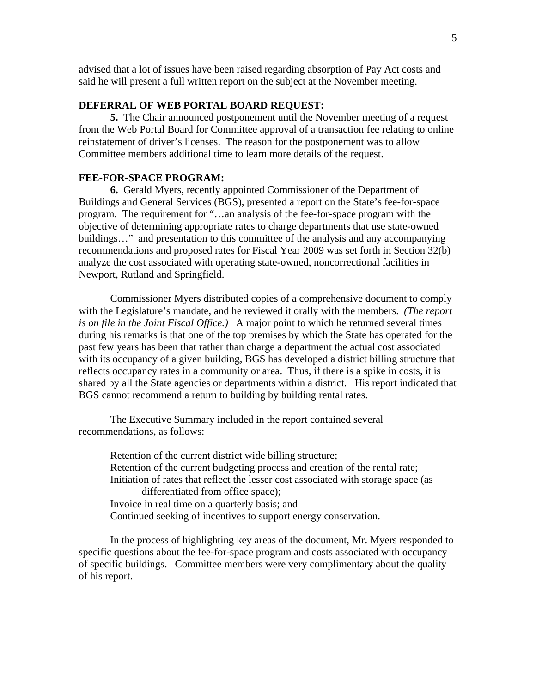advised that a lot of issues have been raised regarding absorption of Pay Act costs and said he will present a full written report on the subject at the November meeting.

## **DEFERRAL OF WEB PORTAL BOARD REQUEST:**

 **5.** The Chair announced postponement until the November meeting of a request from the Web Portal Board for Committee approval of a transaction fee relating to online reinstatement of driver's licenses. The reason for the postponement was to allow Committee members additional time to learn more details of the request.

#### **FEE-FOR-SPACE PROGRAM:**

 **6.** Gerald Myers, recently appointed Commissioner of the Department of Buildings and General Services (BGS), presented a report on the State's fee-for-space program. The requirement for "…an analysis of the fee-for-space program with the objective of determining appropriate rates to charge departments that use state-owned buildings…" and presentation to this committee of the analysis and any accompanying recommendations and proposed rates for Fiscal Year 2009 was set forth in Section 32(b) analyze the cost associated with operating state-owned, noncorrectional facilities in Newport, Rutland and Springfield.

 Commissioner Myers distributed copies of a comprehensive document to comply with the Legislature's mandate, and he reviewed it orally with the members. *(The report is on file in the Joint Fiscal Office.)* A major point to which he returned several times during his remarks is that one of the top premises by which the State has operated for the past few years has been that rather than charge a department the actual cost associated with its occupancy of a given building, BGS has developed a district billing structure that reflects occupancy rates in a community or area. Thus, if there is a spike in costs, it is shared by all the State agencies or departments within a district. His report indicated that BGS cannot recommend a return to building by building rental rates.

 The Executive Summary included in the report contained several recommendations, as follows:

> Retention of the current district wide billing structure; Retention of the current budgeting process and creation of the rental rate; Initiation of rates that reflect the lesser cost associated with storage space (as differentiated from office space); Invoice in real time on a quarterly basis; and Continued seeking of incentives to support energy conservation.

 In the process of highlighting key areas of the document, Mr. Myers responded to specific questions about the fee-for-space program and costs associated with occupancy of specific buildings. Committee members were very complimentary about the quality of his report.